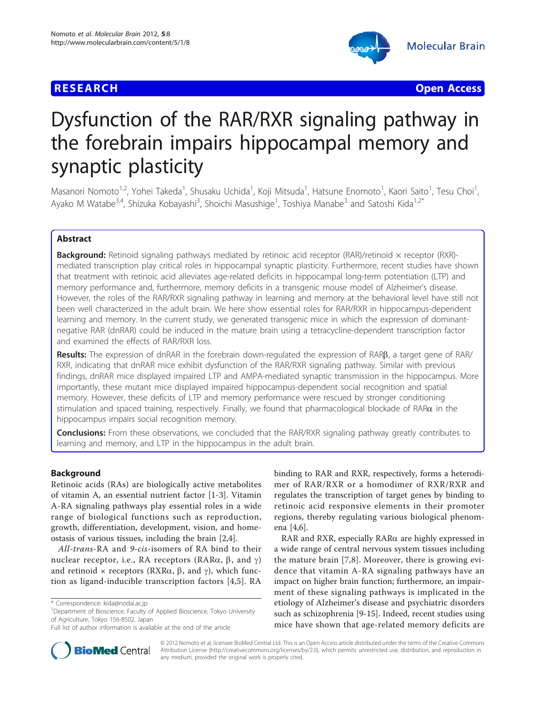



# Dysfunction of the RAR/RXR signaling pathway in the forebrain impairs hippocampal memory and synaptic plasticity

Masanori Nomoto<sup>1,2</sup>, Yohei Takeda<sup>1</sup>, Shusaku Uchida<sup>1</sup>, Koji Mitsuda<sup>1</sup>, Hatsune Enomoto<sup>1</sup>, Kaori Saito<sup>1</sup>, Tesu Choi<sup>1</sup> , Ayako M Watabe<sup>3,4</sup>, Shizuka Kobayashi<sup>3</sup>, Shoichi Masushige<sup>1</sup>, Toshiya Manabe<sup>3</sup> and Satoshi Kida<sup>1,2\*</sup>

# Abstract

**Background:** Retinoid signaling pathways mediated by retinoic acid receptor (RAR)/retinoid  $\times$  receptor (RXR)mediated transcription play critical roles in hippocampal synaptic plasticity. Furthermore, recent studies have shown that treatment with retinoic acid alleviates age-related deficits in hippocampal long-term potentiation (LTP) and memory performance and, furthermore, memory deficits in a transgenic mouse model of Alzheimer's disease. However, the roles of the RAR/RXR signaling pathway in learning and memory at the behavioral level have still not been well characterized in the adult brain. We here show essential roles for RAR/RXR in hippocampus-dependent learning and memory. In the current study, we generated transgenic mice in which the expression of dominantnegative RAR (dnRAR) could be induced in the mature brain using a tetracycline-dependent transcription factor and examined the effects of RAR/RXR loss.

Results: The expression of dnRAR in the forebrain down-regulated the expression of RAR $\beta$ , a target gene of RAR/ RXR, indicating that dnRAR mice exhibit dysfunction of the RAR/RXR signaling pathway. Similar with previous findings, dnRAR mice displayed impaired LTP and AMPA-mediated synaptic transmission in the hippocampus. More importantly, these mutant mice displayed impaired hippocampus-dependent social recognition and spatial memory. However, these deficits of LTP and memory performance were rescued by stronger conditioning stimulation and spaced training, respectively. Finally, we found that pharmacological blockade of  $RAR\alpha$  in the hippocampus impairs social recognition memory.

**Conclusions:** From these observations, we concluded that the RAR/RXR signaling pathway greatly contributes to learning and memory, and LTP in the hippocampus in the adult brain.

## Background

Retinoic acids (RAs) are biologically active metabolites of vitamin A, an essential nutrient factor [[1-3](#page-13-0)]. Vitamin A-RA signaling pathways play essential roles in a wide range of biological functions such as reproduction, growth, differentiation, development, vision, and homeostasis of various tissues, including the brain [[2,4\]](#page-13-0).

All-trans-RA and 9-cis-isomers of RA bind to their nuclear receptor, i.e., RA receptors ( $RAR\alpha$ ,  $\beta$ , and  $\gamma$ ) and retinoid  $\times$  receptors (RXR $\alpha$ ,  $\beta$ , and  $\gamma$ ), which function as ligand-inducible transcription factors [[4,5](#page-13-0)]. RA

binding to RAR and RXR, respectively, forms a heterodimer of RAR/RXR or a homodimer of RXR/RXR and regulates the transcription of target genes by binding to retinoic acid responsive elements in their promoter regions, thereby regulating various biological phenomena [\[4,6](#page-13-0)].

RAR and RXR, especially  $RAR\alpha$  are highly expressed in a wide range of central nervous system tissues including the mature brain [[7,8](#page-13-0)]. Moreover, there is growing evidence that vitamin A-RA signaling pathways have an impact on higher brain function; furthermore, an impairment of these signaling pathways is implicated in the etiology of Alzheimer's disease and psychiatric disorders such as schizophrenia [\[9](#page-13-0)-[15](#page-13-0)]. Indeed, recent studies using mice have shown that age-related memory deficits are



© 2012 Nomoto et al; licensee BioMed Central Ltd. This is an Open Access article distributed under the terms of the Creative Commons Attribution License [\(http://creativecommons.org/licenses/by/2.0](http://creativecommons.org/licenses/by/2.0)), which permits unrestricted use, distribution, and reproduction in any medium, provided the original work is properly cited.

<sup>\*</sup> Correspondence: [kida@nodai.ac.jp](mailto:kida@nodai.ac.jp)

<sup>&</sup>lt;sup>1</sup>Department of Bioscience, Faculty of Applied Bioscience, Tokyo University of Agriculture, Tokyo 156-8502, Japan

Full list of author information is available at the end of the article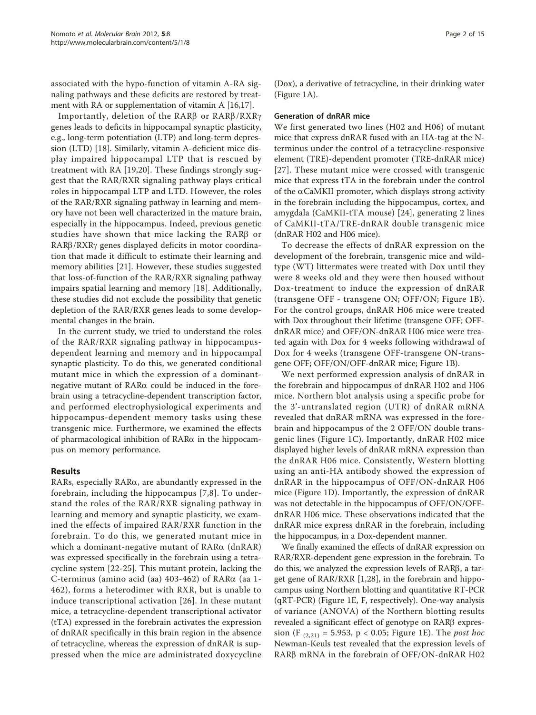associated with the hypo-function of vitamin A-RA signaling pathways and these deficits are restored by treatment with RA or supplementation of vitamin A [[16,17](#page-13-0)].

Importantly, deletion of the RAR $\beta$  or RAR $\beta$ /RXR $\gamma$ genes leads to deficits in hippocampal synaptic plasticity, e.g., long-term potentiation (LTP) and long-term depression (LTD) [[18\]](#page-13-0). Similarly, vitamin A-deficient mice display impaired hippocampal LTP that is rescued by treatment with RA [\[19](#page-13-0),[20\]](#page-13-0). These findings strongly suggest that the RAR/RXR signaling pathway plays critical roles in hippocampal LTP and LTD. However, the roles of the RAR/RXR signaling pathway in learning and memory have not been well characterized in the mature brain, especially in the hippocampus. Indeed, previous genetic studies have shown that mice lacking the RARB or RARB/RXRy genes displayed deficits in motor coordination that made it difficult to estimate their learning and memory abilities [[21\]](#page-13-0). However, these studies suggested that loss-of-function of the RAR/RXR signaling pathway impairs spatial learning and memory [[18\]](#page-13-0). Additionally, these studies did not exclude the possibility that genetic depletion of the RAR/RXR genes leads to some developmental changes in the brain.

In the current study, we tried to understand the roles of the RAR/RXR signaling pathway in hippocampusdependent learning and memory and in hippocampal synaptic plasticity. To do this, we generated conditional mutant mice in which the expression of a dominantnegative mutant of  $RAR\alpha$  could be induced in the forebrain using a tetracycline-dependent transcription factor, and performed electrophysiological experiments and hippocampus-dependent memory tasks using these transgenic mice. Furthermore, we examined the effects of pharmacological inhibition of  $RAR\alpha$  in the hippocampus on memory performance.

## Results

RARs, especially RARa, are abundantly expressed in the forebrain, including the hippocampus [[7](#page-13-0),[8\]](#page-13-0). To understand the roles of the RAR/RXR signaling pathway in learning and memory and synaptic plasticity, we examined the effects of impaired RAR/RXR function in the forebrain. To do this, we generated mutant mice in which a dominant-negative mutant of  $RAR\alpha$  (dn $RAR$ ) was expressed specifically in the forebrain using a tetracycline system [[22-25\]](#page-13-0). This mutant protein, lacking the C-terminus (amino acid (aa) 403-462) of  $\text{RAR}\alpha$  (aa 1-462), forms a heterodimer with RXR, but is unable to induce transcriptional activation [[26](#page-13-0)]. In these mutant mice, a tetracycline-dependent transcriptional activator (tTA) expressed in the forebrain activates the expression of dnRAR specifically in this brain region in the absence of tetracycline, whereas the expression of dnRAR is suppressed when the mice are administrated doxycycline (Dox), a derivative of tetracycline, in their drinking water (Figure [1A](#page-2-0)).

#### Generation of dnRAR mice

We first generated two lines (H02 and H06) of mutant mice that express dnRAR fused with an HA-tag at the Nterminus under the control of a tetracycline-responsive element (TRE)-dependent promoter (TRE-dnRAR mice) [[27\]](#page-13-0). These mutant mice were crossed with transgenic mice that express tTA in the forebrain under the control of the  $\alpha$ CaMKII promoter, which displays strong activity in the forebrain including the hippocampus, cortex, and amygdala (CaMKII-tTA mouse) [\[24](#page-13-0)], generating 2 lines of CaMKII-tTA/TRE-dnRAR double transgenic mice (dnRAR H02 and H06 mice).

To decrease the effects of dnRAR expression on the development of the forebrain, transgenic mice and wildtype (WT) littermates were treated with Dox until they were 8 weeks old and they were then housed without Dox-treatment to induce the expression of dnRAR (transgene OFF - transgene ON; OFF/ON; Figure [1B\)](#page-2-0). For the control groups, dnRAR H06 mice were treated with Dox throughout their lifetime (transgene OFF; OFFdnRAR mice) and OFF/ON-dnRAR H06 mice were treated again with Dox for 4 weeks following withdrawal of Dox for 4 weeks (transgene OFF-transgene ON-transgene OFF; OFF/ON/OFF-dnRAR mice; Figure [1B\)](#page-2-0).

We next performed expression analysis of dnRAR in the forebrain and hippocampus of dnRAR H02 and H06 mice. Northern blot analysis using a specific probe for the 3'-untranslated region (UTR) of dnRAR mRNA revealed that dnRAR mRNA was expressed in the forebrain and hippocampus of the 2 OFF/ON double transgenic lines (Figure [1C\)](#page-2-0). Importantly, dnRAR H02 mice displayed higher levels of dnRAR mRNA expression than the dnRAR H06 mice. Consistently, Western blotting using an anti-HA antibody showed the expression of dnRAR in the hippocampus of OFF/ON-dnRAR H06 mice (Figure [1D\)](#page-2-0). Importantly, the expression of dnRAR was not detectable in the hippocampus of OFF/ON/OFFdnRAR H06 mice. These observations indicated that the dnRAR mice express dnRAR in the forebrain, including the hippocampus, in a Dox-dependent manner.

We finally examined the effects of dnRAR expression on RAR/RXR-dependent gene expression in the forebrain. To do this, we analyzed the expression levels of RARb, a target gene of RAR/RXR [[1,28\]](#page-13-0), in the forebrain and hippocampus using Northern blotting and quantitative RT-PCR (qRT-PCR) (Figure [1E, F](#page-2-0), respectively). One-way analysis of variance (ANOVA) of the Northern blotting results revealed a significant effect of genotype on RARb expres-sion (F<sub>(2,21)</sub> = 5.953, p < 0.05; Figure [1E\)](#page-2-0). The *post hoc* Newman-Keuls test revealed that the expression levels of RARb mRNA in the forebrain of OFF/ON-dnRAR H02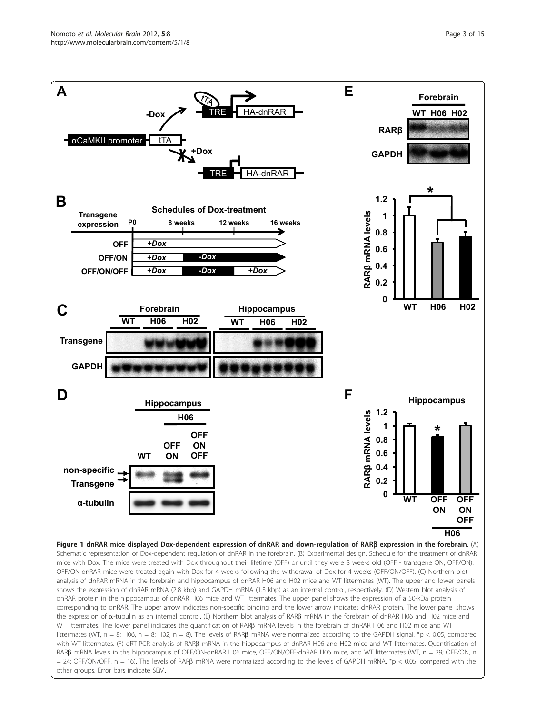<span id="page-2-0"></span>

shows the expression of dnRAR mRNA (2.8 kbp) and GAPDH mRNA (1.3 kbp) as an internal control, respectively. (D) Western blot analysis of dnRAR protein in the hippocampus of dnRAR H06 mice and WT littermates. The upper panel shows the expression of a 50-kDa protein corresponding to dnRAR. The upper arrow indicates non-specific binding and the lower arrow indicates dnRAR protein. The lower panel shows the expression of  $\alpha$ -tubulin as an internal control. (E) Northern blot analysis of RARB mRNA in the forebrain of dnRAR H06 and H02 mice and WT littermates. The lower panel indicates the quantification of RARb mRNA levels in the forebrain of dnRAR H06 and H02 mice and WT littermates (WT,  $n = 8$ ; H06,  $n = 8$ ; H02,  $n = 8$ ). The levels of RAR $\beta$  mRNA were normalized according to the GAPDH signal. \*p < 0.05, compared with WT littermates. (F) qRT-PCR analysis of RARB mRNA in the hippocampus of dnRAR H06 and H02 mice and WT littermates. Quantification of RARB mRNA levels in the hippocampus of OFF/ON-dnRAR H06 mice, OFF/ON/OFF-dnRAR H06 mice, and WT littermates (WT, n = 29; OFF/ON, n  $=$  24; OFF/ON/OFF, n = 16). The levels of RARB mRNA were normalized according to the levels of GAPDH mRNA. \*p < 0.05, compared with the other groups. Error bars indicate SEM.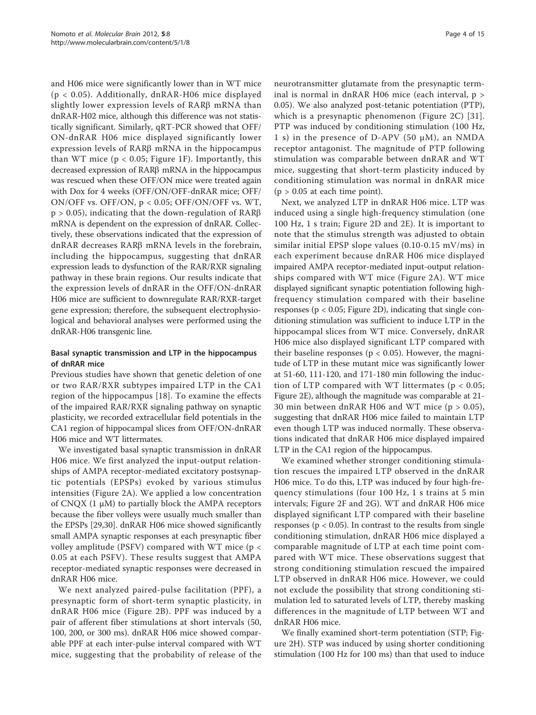and H06 mice were significantly lower than in WT mice (p < 0.05). Additionally, dnRAR-H06 mice displayed slightly lower expression levels of RARB mRNA than dnRAR-H02 mice, although this difference was not statistically significant. Similarly, qRT-PCR showed that OFF/ ON-dnRAR H06 mice displayed significantly lower expression levels of RARb mRNA in the hippocampus than WT mice ( $p < 0.05$ ; Figure [1F\)](#page-2-0). Importantly, this decreased expression of RARβ mRNA in the hippocampus was rescued when these OFF/ON mice were treated again with Dox for 4 weeks (OFF/ON/OFF-dnRAR mice; OFF/ ON/OFF vs. OFF/ON, p < 0.05; OFF/ON/OFF vs. WT,  $p > 0.05$ ), indicating that the down-regulation of RAR $\beta$ mRNA is dependent on the expression of dnRAR. Collectively, these observations indicated that the expression of dnRAR decreases RARB mRNA levels in the forebrain, including the hippocampus, suggesting that dnRAR expression leads to dysfunction of the RAR/RXR signaling pathway in these brain regions. Our results indicate that the expression levels of dnRAR in the OFF/ON-dnRAR H06 mice are sufficient to downregulate RAR/RXR-target gene expression; therefore, the subsequent electrophysiological and behavioral analyses were performed using the dnRAR-H06 transgenic line.

# Basal synaptic transmission and LTP in the hippocampus of dnRAR mice

Previous studies have shown that genetic deletion of one or two RAR/RXR subtypes impaired LTP in the CA1 region of the hippocampus [[18](#page-13-0)]. To examine the effects of the impaired RAR/RXR signaling pathway on synaptic plasticity, we recorded extracellular field potentials in the CA1 region of hippocampal slices from OFF/ON-dnRAR H06 mice and WT littermates.

We investigated basal synaptic transmission in dnRAR H06 mice. We first analyzed the input-output relationships of AMPA receptor-mediated excitatory postsynaptic potentials (EPSPs) evoked by various stimulus intensities (Figure [2A](#page-4-0)). We applied a low concentration of CNQX  $(1 \mu M)$  to partially block the AMPA receptors because the fiber volleys were usually much smaller than the EPSPs [[29](#page-14-0),[30](#page-14-0)]. dnRAR H06 mice showed significantly small AMPA synaptic responses at each presynaptic fiber volley amplitude (PSFV) compared with WT mice (p < 0.05 at each PSFV). These results suggest that AMPA receptor-mediated synaptic responses were decreased in dnRAR H06 mice.

We next analyzed paired-pulse facilitation (PPF), a presynaptic form of short-term synaptic plasticity, in dnRAR H06 mice (Figure [2B](#page-4-0)). PPF was induced by a pair of afferent fiber stimulations at short intervals (50, 100, 200, or 300 ms). dnRAR H06 mice showed comparable PPF at each inter-pulse interval compared with WT mice, suggesting that the probability of release of the neurotransmitter glutamate from the presynaptic terminal is normal in dnRAR H06 mice (each interval, p > 0.05). We also analyzed post-tetanic potentiation (PTP), which is a presynaptic phenomenon (Figure [2C](#page-4-0)) [[31\]](#page-14-0). PTP was induced by conditioning stimulation (100 Hz, 1 s) in the presence of D-APV (50  $\mu$ M), an NMDA receptor antagonist. The magnitude of PTP following stimulation was comparable between dnRAR and WT mice, suggesting that short-term plasticity induced by conditioning stimulation was normal in dnRAR mice  $(p > 0.05$  at each time point).

Next, we analyzed LTP in dnRAR H06 mice. LTP was induced using a single high-frequency stimulation (one 100 Hz, 1 s train; Figure [2D](#page-4-0) and [2E](#page-4-0)). It is important to note that the stimulus strength was adjusted to obtain similar initial EPSP slope values (0.10-0.15 mV/ms) in each experiment because dnRAR H06 mice displayed impaired AMPA receptor-mediated input-output relationships compared with WT mice (Figure [2A\)](#page-4-0). WT mice displayed significant synaptic potentiation following highfrequency stimulation compared with their baseline responses ( $p < 0.05$ ; Figure [2D](#page-4-0)), indicating that single conditioning stimulation was sufficient to induce LTP in the hippocampal slices from WT mice. Conversely, dnRAR H06 mice also displayed significant LTP compared with their baseline responses ( $p < 0.05$ ). However, the magnitude of LTP in these mutant mice was significantly lower at 51-60, 111-120, and 171-180 min following the induction of LTP compared with WT littermates ( $p < 0.05$ ; Figure [2E\)](#page-4-0), although the magnitude was comparable at 21- 30 min between dnRAR H06 and WT mice  $(p > 0.05)$ , suggesting that dnRAR H06 mice failed to maintain LTP even though LTP was induced normally. These observations indicated that dnRAR H06 mice displayed impaired LTP in the CA1 region of the hippocampus.

We examined whether stronger conditioning stimulation rescues the impaired LTP observed in the dnRAR H06 mice. To do this, LTP was induced by four high-frequency stimulations (four 100 Hz, 1 s trains at 5 min intervals; Figure [2F](#page-4-0) and [2G\)](#page-4-0). WT and dnRAR H06 mice displayed significant LTP compared with their baseline responses ( $p < 0.05$ ). In contrast to the results from single conditioning stimulation, dnRAR H06 mice displayed a comparable magnitude of LTP at each time point compared with WT mice. These observations suggest that strong conditioning stimulation rescued the impaired LTP observed in dnRAR H06 mice. However, we could not exclude the possibility that strong conditioning stimulation led to saturated levels of LTP, thereby masking differences in the magnitude of LTP between WT and dnRAR H06 mice.

We finally examined short-term potentiation (STP; Figure [2H\)](#page-4-0). STP was induced by using shorter conditioning stimulation (100 Hz for 100 ms) than that used to induce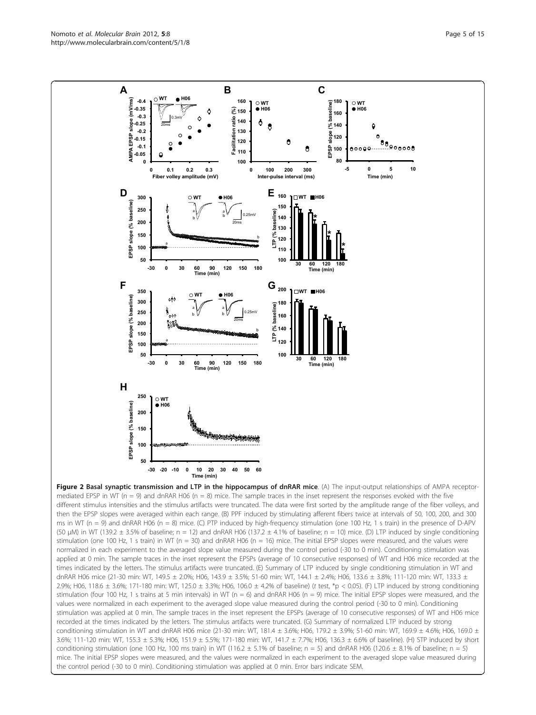<span id="page-4-0"></span>

mediated EPSP in WT ( $n = 9$ ) and dnRAR H06 ( $n = 8$ ) mice. The sample traces in the inset represent the responses evoked with the five different stimulus intensities and the stimulus artifacts were truncated. The data were first sorted by the amplitude range of the fiber volleys, and then the EPSP slopes were averaged within each range. (B) PPF induced by stimulating afferent fibers twice at intervals of 50, 100, 200, and 300 ms in WT ( $n = 9$ ) and dnRAR H06 ( $n = 8$ ) mice. (C) PTP induced by high-frequency stimulation (one 100 Hz, 1 s train) in the presence of D-APV (50  $\mu$ M) in WT (139.2  $\pm$  3.5% of baseline; n = 12) and dnRAR H06 (137.2  $\pm$  4.1% of baseline; n = 10) mice. (D) LTP induced by single conditioning stimulation (one 100 Hz, 1 s train) in WT ( $n = 30$ ) and dnRAR H06 ( $n = 16$ ) mice. The initial EPSP slopes were measured, and the values were normalized in each experiment to the averaged slope value measured during the control period (-30 to 0 min). Conditioning stimulation was applied at 0 min. The sample traces in the inset represent the EPSPs (average of 10 consecutive responses) of WT and H06 mice recorded at the times indicated by the letters. The stimulus artifacts were truncated. (E) Summary of LTP induced by single conditioning stimulation in WT and dnRAR H06 mice (21-30 min: WT, 149.5 ± 2.0%; H06, 143.9 ± 3.5%; 51-60 min: WT, 144.1 ± 2.4%; H06, 133.6 ± 3.8%; 111-120 min: WT, 133.3 ± 2.9%; H06, 118.6 ± 3.6%; 171-180 min: WT, 125.0 ± 3.3%; H06, 106.0 ± 4.2% of baseline) (t test, \*p < 0.05). (F) LTP induced by strong conditioning stimulation (four 100 Hz, 1 s trains at 5 min intervals) in WT ( $n = 6$ ) and dnRAR H06 ( $n = 9$ ) mice. The initial EPSP slopes were measured, and the values were normalized in each experiment to the averaged slope value measured during the control period (-30 to 0 min). Conditioning stimulation was applied at 0 min. The sample traces in the inset represent the EPSPs (average of 10 consecutive responses) of WT and H06 mice recorded at the times indicated by the letters. The stimulus artifacts were truncated. (G) Summary of normalized LTP induced by strong conditioning stimulation in WT and dnRAR H06 mice (21-30 min: WT, 181.4  $\pm$  3.6%; H06, 179.2  $\pm$  3.9%; 51-60 min: WT, 169.9  $\pm$  4.6%; H06, 169.0  $\pm$ 3.6%; 111-120 min: WT, 155.3 ± 5.3%; H06, 151.9 ± 5.5%; 171-180 min: WT, 141.7 ± 7.7%; H06, 136.3 ± 6.6% of baseline). (H) STP induced by short conditioning stimulation (one 100 Hz, 100 ms train) in WT (116.2  $\pm$  5.1% of baseline; n = 5) and dnRAR H06 (120.6  $\pm$  8.1% of baseline; n = 5) mice. The initial EPSP slopes were measured, and the values were normalized in each experiment to the averaged slope value measured during the control period (-30 to 0 min). Conditioning stimulation was applied at 0 min. Error bars indicate SEM.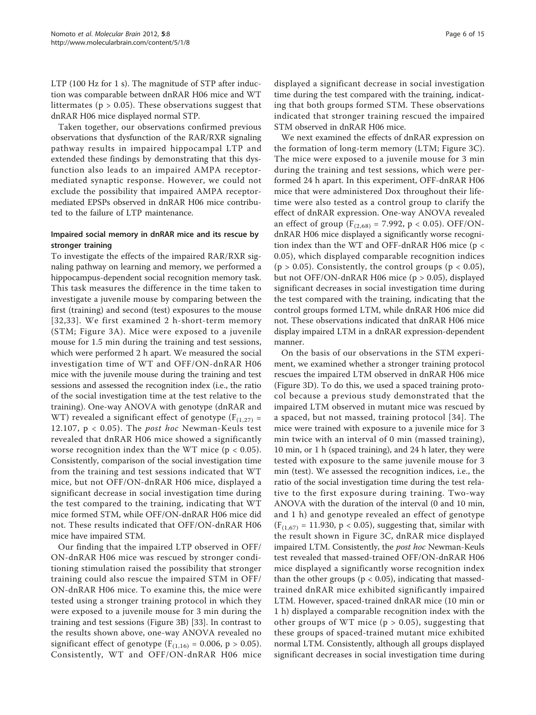LTP (100 Hz for 1 s). The magnitude of STP after induction was comparable between dnRAR H06 mice and WT littermates ( $p > 0.05$ ). These observations suggest that dnRAR H06 mice displayed normal STP.

Taken together, our observations confirmed previous observations that dysfunction of the RAR/RXR signaling pathway results in impaired hippocampal LTP and extended these findings by demonstrating that this dysfunction also leads to an impaired AMPA receptormediated synaptic response. However, we could not exclude the possibility that impaired AMPA receptormediated EPSPs observed in dnRAR H06 mice contributed to the failure of LTP maintenance.

#### Impaired social memory in dnRAR mice and its rescue by stronger training

To investigate the effects of the impaired RAR/RXR signaling pathway on learning and memory, we performed a hippocampus-dependent social recognition memory task. This task measures the difference in the time taken to investigate a juvenile mouse by comparing between the first (training) and second (test) exposures to the mouse [[32](#page-14-0),[33](#page-14-0)]. We first examined 2 h-short-term memory (STM; Figure [3A\)](#page-6-0). Mice were exposed to a juvenile mouse for 1.5 min during the training and test sessions, which were performed 2 h apart. We measured the social investigation time of WT and OFF/ON-dnRAR H06 mice with the juvenile mouse during the training and test sessions and assessed the recognition index (i.e., the ratio of the social investigation time at the test relative to the training). One-way ANOVA with genotype (dnRAR and WT) revealed a significant effect of genotype ( $F_{(1,27)}$  = 12.107,  $p < 0.05$ ). The *post hoc* Newman-Keuls test revealed that dnRAR H06 mice showed a significantly worse recognition index than the WT mice ( $p < 0.05$ ). Consistently, comparison of the social investigation time from the training and test sessions indicated that WT mice, but not OFF/ON-dnRAR H06 mice, displayed a significant decrease in social investigation time during the test compared to the training, indicating that WT mice formed STM, while OFF/ON-dnRAR H06 mice did not. These results indicated that OFF/ON-dnRAR H06 mice have impaired STM.

Our finding that the impaired LTP observed in OFF/ ON-dnRAR H06 mice was rescued by stronger conditioning stimulation raised the possibility that stronger training could also rescue the impaired STM in OFF/ ON-dnRAR H06 mice. To examine this, the mice were tested using a stronger training protocol in which they were exposed to a juvenile mouse for 3 min during the training and test sessions (Figure [3B\)](#page-6-0) [[33\]](#page-14-0). In contrast to the results shown above, one-way ANOVA revealed no significant effect of genotype ( $F_{(1,16)} = 0.006$ , p > 0.05). Consistently, WT and OFF/ON-dnRAR H06 mice

displayed a significant decrease in social investigation time during the test compared with the training, indicating that both groups formed STM. These observations indicated that stronger training rescued the impaired STM observed in dnRAR H06 mice.

We next examined the effects of dnRAR expression on the formation of long-term memory (LTM; Figure [3C](#page-6-0)). The mice were exposed to a juvenile mouse for 3 min during the training and test sessions, which were performed 24 h apart. In this experiment, OFF-dnRAR H06 mice that were administered Dox throughout their lifetime were also tested as a control group to clarify the effect of dnRAR expression. One-way ANOVA revealed an effect of group ( $F_{(2,68)} = 7.992$ , p < 0.05). OFF/ONdnRAR H06 mice displayed a significantly worse recognition index than the WT and OFF-dnRAR H06 mice (p < 0.05), which displayed comparable recognition indices ( $p > 0.05$ ). Consistently, the control groups ( $p < 0.05$ ), but not OFF/ON-dnRAR H06 mice (p > 0.05), displayed significant decreases in social investigation time during the test compared with the training, indicating that the control groups formed LTM, while dnRAR H06 mice did not. These observations indicated that dnRAR H06 mice display impaired LTM in a dnRAR expression-dependent manner.

On the basis of our observations in the STM experiment, we examined whether a stronger training protocol rescues the impaired LTM observed in dnRAR H06 mice (Figure [3D\)](#page-6-0). To do this, we used a spaced training protocol because a previous study demonstrated that the impaired LTM observed in mutant mice was rescued by a spaced, but not massed, training protocol [[34\]](#page-14-0). The mice were trained with exposure to a juvenile mice for 3 min twice with an interval of 0 min (massed training), 10 min, or 1 h (spaced training), and 24 h later, they were tested with exposure to the same juvenile mouse for 3 min (test). We assessed the recognition indices, i.e., the ratio of the social investigation time during the test relative to the first exposure during training. Two-way ANOVA with the duration of the interval (0 and 10 min, and 1 h) and genotype revealed an effect of genotype  $(F_{(1,67)} = 11.930, p < 0.05)$ , suggesting that, similar with the result shown in Figure [3C,](#page-6-0) dnRAR mice displayed impaired LTM. Consistently, the post hoc Newman-Keuls test revealed that massed-trained OFF/ON-dnRAR H06 mice displayed a significantly worse recognition index than the other groups ( $p < 0.05$ ), indicating that massedtrained dnRAR mice exhibited significantly impaired LTM. However, spaced-trained dnRAR mice (10 min or 1 h) displayed a comparable recognition index with the other groups of WT mice ( $p > 0.05$ ), suggesting that these groups of spaced-trained mutant mice exhibited normal LTM. Consistently, although all groups displayed significant decreases in social investigation time during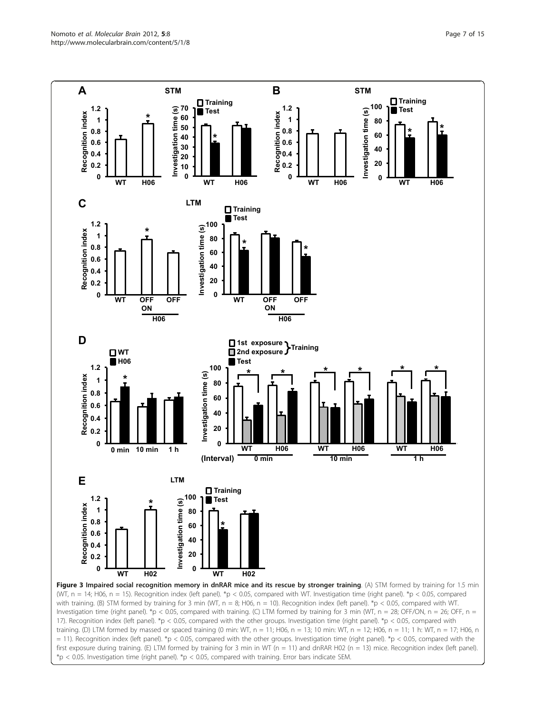<span id="page-6-0"></span>

 $=$  11). Recognition index (left panel). \*p < 0.05, compared with the other groups. Investigation time (right panel). \*p < 0.05, compared with the first exposure during training. (E) LTM formed by training for 3 min in WT (n = 11) and dnRAR H02 (n = 13) mice. Recognition index (left panel).  $*_p$  < 0.05. Investigation time (right panel).  $*_p$  < 0.05, compared with training. Error bars indicate SEM.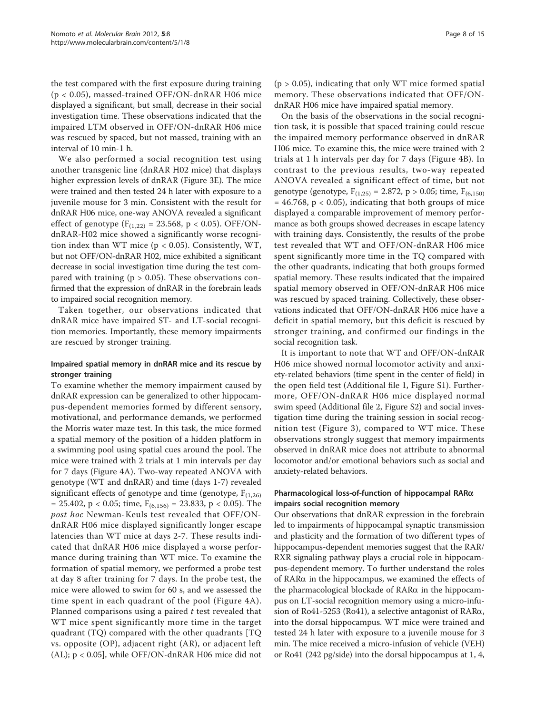the test compared with the first exposure during training (p < 0.05), massed-trained OFF/ON-dnRAR H06 mice displayed a significant, but small, decrease in their social investigation time. These observations indicated that the impaired LTM observed in OFF/ON-dnRAR H06 mice was rescued by spaced, but not massed, training with an interval of 10 min-1 h.

We also performed a social recognition test using another transgenic line (dnRAR H02 mice) that displays higher expression levels of dnRAR (Figure [3E](#page-6-0)). The mice were trained and then tested 24 h later with exposure to a juvenile mouse for 3 min. Consistent with the result for dnRAR H06 mice, one-way ANOVA revealed a significant effect of genotype  $(F_{(1,22)} = 23.568, p < 0.05)$ . OFF/ONdnRAR-H02 mice showed a significantly worse recognition index than WT mice ( $p < 0.05$ ). Consistently, WT, but not OFF/ON-dnRAR H02, mice exhibited a significant decrease in social investigation time during the test compared with training ( $p > 0.05$ ). These observations confirmed that the expression of dnRAR in the forebrain leads to impaired social recognition memory.

Taken together, our observations indicated that dnRAR mice have impaired ST- and LT-social recognition memories. Importantly, these memory impairments are rescued by stronger training.

# Impaired spatial memory in dnRAR mice and its rescue by stronger training

To examine whether the memory impairment caused by dnRAR expression can be generalized to other hippocampus-dependent memories formed by different sensory, motivational, and performance demands, we performed the Morris water maze test. In this task, the mice formed a spatial memory of the position of a hidden platform in a swimming pool using spatial cues around the pool. The mice were trained with 2 trials at 1 min intervals per day for 7 days (Figure [4A](#page-8-0)). Two-way repeated ANOVA with genotype (WT and dnRAR) and time (days 1-7) revealed significant effects of genotype and time (genotype,  $F_{(1,26)}$ ) = 25.402, p < 0.05; time,  $F_{(6,156)}$  = 23.833, p < 0.05). The post hoc Newman-Keuls test revealed that OFF/ONdnRAR H06 mice displayed significantly longer escape latencies than WT mice at days 2-7. These results indicated that dnRAR H06 mice displayed a worse performance during training than WT mice. To examine the formation of spatial memory, we performed a probe test at day 8 after training for 7 days. In the probe test, the mice were allowed to swim for 60 s, and we assessed the time spent in each quadrant of the pool (Figure [4A\)](#page-8-0). Planned comparisons using a paired  $t$  test revealed that WT mice spent significantly more time in the target quadrant (TQ) compared with the other quadrants [TQ vs. opposite (OP), adjacent right (AR), or adjacent left (AL); p < 0.05], while OFF/ON-dnRAR H06 mice did not

 $(p > 0.05)$ , indicating that only WT mice formed spatial memory. These observations indicated that OFF/ONdnRAR H06 mice have impaired spatial memory.

On the basis of the observations in the social recognition task, it is possible that spaced training could rescue the impaired memory performance observed in dnRAR H06 mice. To examine this, the mice were trained with 2 trials at 1 h intervals per day for 7 days (Figure [4B\)](#page-8-0). In contrast to the previous results, two-way repeated ANOVA revealed a significant effect of time, but not genotype (genotype,  $F_{(1,25)} = 2.872$ , p > 0.05; time,  $F_{(6,150)}$  $= 46.768$ ,  $p < 0.05$ ), indicating that both groups of mice displayed a comparable improvement of memory performance as both groups showed decreases in escape latency with training days. Consistently, the results of the probe test revealed that WT and OFF/ON-dnRAR H06 mice spent significantly more time in the TQ compared with the other quadrants, indicating that both groups formed spatial memory. These results indicated that the impaired spatial memory observed in OFF/ON-dnRAR H06 mice was rescued by spaced training. Collectively, these observations indicated that OFF/ON-dnRAR H06 mice have a deficit in spatial memory, but this deficit is rescued by stronger training, and confirmed our findings in the social recognition task.

It is important to note that WT and OFF/ON-dnRAR H06 mice showed normal locomotor activity and anxiety-related behaviors (time spent in the center of field) in the open field test (Additional file [1,](#page-12-0) Figure S1). Furthermore, OFF/ON-dnRAR H06 mice displayed normal swim speed (Additional file [2,](#page-13-0) Figure S2) and social investigation time during the training session in social recognition test (Figure [3](#page-6-0)), compared to WT mice. These observations strongly suggest that memory impairments observed in dnRAR mice does not attribute to abnormal locomotor and/or emotional behaviors such as social and anxiety-related behaviors.

# Pharmacological loss-of-function of hippocampal RAR $\alpha$ impairs social recognition memory

Our observations that dnRAR expression in the forebrain led to impairments of hippocampal synaptic transmission and plasticity and the formation of two different types of hippocampus-dependent memories suggest that the RAR/ RXR signaling pathway plays a crucial role in hippocampus-dependent memory. To further understand the roles of  $RAR\alpha$  in the hippocampus, we examined the effects of the pharmacological blockade of RARa in the hippocampus on LT-social recognition memory using a micro-infusion of Ro41-5253 (Ro41), a selective antagonist of  $RAR\alpha$ , into the dorsal hippocampus. WT mice were trained and tested 24 h later with exposure to a juvenile mouse for 3 min. The mice received a micro-infusion of vehicle (VEH) or Ro41 (242 pg/side) into the dorsal hippocampus at 1, 4,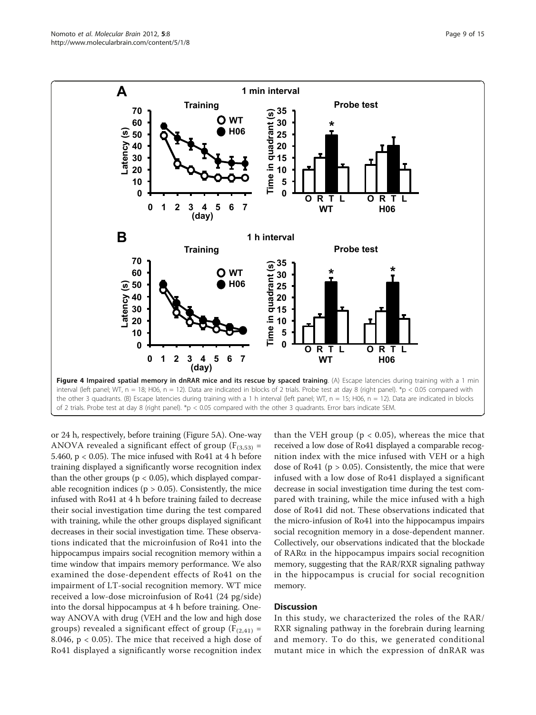<span id="page-8-0"></span>

or 24 h, respectively, before training (Figure [5A\)](#page-9-0). One-way ANOVA revealed a significant effect of group ( $F_{(3,53)}$  = 5.460, p < 0.05). The mice infused with Ro41 at 4 h before training displayed a significantly worse recognition index than the other groups ( $p < 0.05$ ), which displayed comparable recognition indices ( $p > 0.05$ ). Consistently, the mice infused with Ro41 at 4 h before training failed to decrease their social investigation time during the test compared with training, while the other groups displayed significant decreases in their social investigation time. These observations indicated that the microinfusion of Ro41 into the hippocampus impairs social recognition memory within a time window that impairs memory performance. We also examined the dose-dependent effects of Ro41 on the impairment of LT-social recognition memory. WT mice received a low-dose microinfusion of Ro41 (24 pg/side) into the dorsal hippocampus at 4 h before training. Oneway ANOVA with drug (VEH and the low and high dose groups) revealed a significant effect of group ( $F_{(2,41)}$  = 8.046,  $p < 0.05$ ). The mice that received a high dose of Ro41 displayed a significantly worse recognition index

than the VEH group ( $p < 0.05$ ), whereas the mice that received a low dose of Ro41 displayed a comparable recognition index with the mice infused with VEH or a high dose of Ro41 ( $p > 0.05$ ). Consistently, the mice that were infused with a low dose of Ro41 displayed a significant decrease in social investigation time during the test compared with training, while the mice infused with a high dose of Ro41 did not. These observations indicated that the micro-infusion of Ro41 into the hippocampus impairs social recognition memory in a dose-dependent manner. Collectively, our observations indicated that the blockade of  $RAR\alpha$  in the hippocampus impairs social recognition memory, suggesting that the RAR/RXR signaling pathway in the hippocampus is crucial for social recognition memory.

#### **Discussion**

In this study, we characterized the roles of the RAR/ RXR signaling pathway in the forebrain during learning and memory. To do this, we generated conditional mutant mice in which the expression of dnRAR was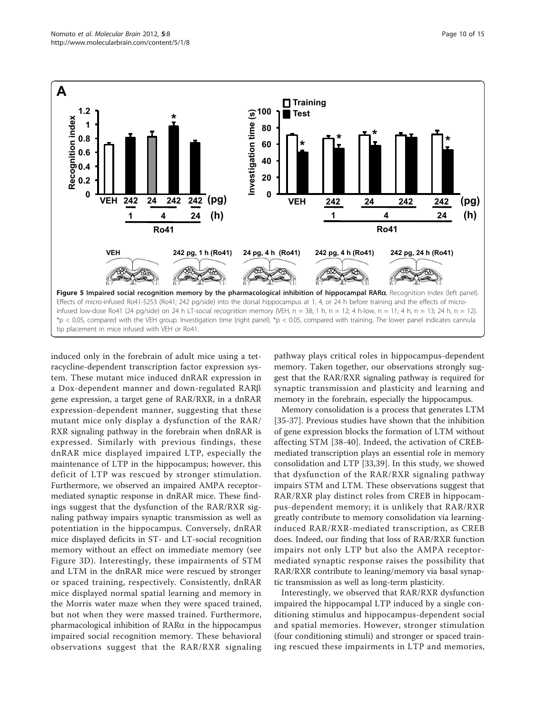<span id="page-9-0"></span>

induced only in the forebrain of adult mice using a tetracycline-dependent transcription factor expression system. These mutant mice induced dnRAR expression in a Dox-dependent manner and down-regulated RARb gene expression, a target gene of RAR/RXR, in a dnRAR expression-dependent manner, suggesting that these mutant mice only display a dysfunction of the RAR/ RXR signaling pathway in the forebrain when dnRAR is expressed. Similarly with previous findings, these dnRAR mice displayed impaired LTP, especially the maintenance of LTP in the hippocampus; however, this deficit of LTP was rescued by stronger stimulation. Furthermore, we observed an impaired AMPA receptormediated synaptic response in dnRAR mice. These findings suggest that the dysfunction of the RAR/RXR signaling pathway impairs synaptic transmission as well as potentiation in the hippocampus. Conversely, dnRAR mice displayed deficits in ST- and LT-social recognition memory without an effect on immediate memory (see Figure [3D\)](#page-6-0). Interestingly, these impairments of STM and LTM in the dnRAR mice were rescued by stronger or spaced training, respectively. Consistently, dnRAR mice displayed normal spatial learning and memory in the Morris water maze when they were spaced trained, but not when they were massed trained. Furthermore, pharmacological inhibition of  $RAR\alpha$  in the hippocampus impaired social recognition memory. These behavioral observations suggest that the RAR/RXR signaling

pathway plays critical roles in hippocampus-dependent memory. Taken together, our observations strongly suggest that the RAR/RXR signaling pathway is required for synaptic transmission and plasticity and learning and memory in the forebrain, especially the hippocampus.

Memory consolidation is a process that generates LTM [[35](#page-14-0)-[37\]](#page-14-0). Previous studies have shown that the inhibition of gene expression blocks the formation of LTM without affecting STM [\[38-40](#page-14-0)]. Indeed, the activation of CREBmediated transcription plays an essential role in memory consolidation and LTP [[33,39\]](#page-14-0). In this study, we showed that dysfunction of the RAR/RXR signaling pathway impairs STM and LTM. These observations suggest that RAR/RXR play distinct roles from CREB in hippocampus-dependent memory; it is unlikely that RAR/RXR greatly contribute to memory consolidation via learninginduced RAR/RXR-mediated transcription, as CREB does. Indeed, our finding that loss of RAR/RXR function impairs not only LTP but also the AMPA receptormediated synaptic response raises the possibility that RAR/RXR contribute to leaning/memory via basal synaptic transmission as well as long-term plasticity.

Interestingly, we observed that RAR/RXR dysfunction impaired the hippocampal LTP induced by a single conditioning stimulus and hippocampus-dependent social and spatial memories. However, stronger stimulation (four conditioning stimuli) and stronger or spaced training rescued these impairments in LTP and memories,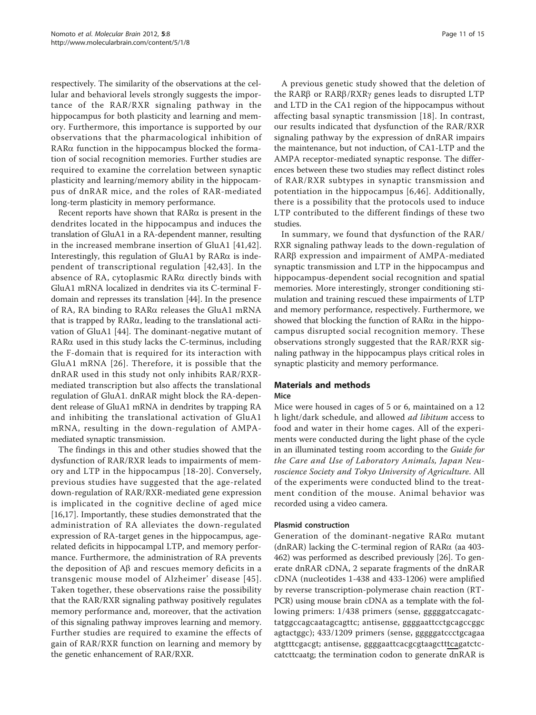respectively. The similarity of the observations at the cellular and behavioral levels strongly suggests the importance of the RAR/RXR signaling pathway in the hippocampus for both plasticity and learning and memory. Furthermore, this importance is supported by our observations that the pharmacological inhibition of RARa function in the hippocampus blocked the formation of social recognition memories. Further studies are required to examine the correlation between synaptic plasticity and learning/memory ability in the hippocampus of dnRAR mice, and the roles of RAR-mediated long-term plasticity in memory performance.

Recent reports have shown that  $RAR\alpha$  is present in the dendrites located in the hippocampus and induces the translation of GluA1 in a RA-dependent manner, resulting in the increased membrane insertion of GluA1 [\[41,42\]](#page-14-0). Interestingly, this regulation of GluA1 by  $RAR\alpha$  is independent of transcriptional regulation [[42,43\]](#page-14-0). In the absence of RA, cytoplasmic RARa directly binds with GluA1 mRNA localized in dendrites via its C-terminal Fdomain and represses its translation [[44\]](#page-14-0). In the presence of RA, RA binding to RARa releases the GluA1 mRNA that is trapped by  $RAR\alpha$ , leading to the translational activation of GluA1 [\[44](#page-14-0)]. The dominant-negative mutant of  $RAR\alpha$  used in this study lacks the C-terminus, including the F-domain that is required for its interaction with GluA1 mRNA [[26\]](#page-13-0). Therefore, it is possible that the dnRAR used in this study not only inhibits RAR/RXRmediated transcription but also affects the translational regulation of GluA1. dnRAR might block the RA-dependent release of GluA1 mRNA in dendrites by trapping RA and inhibiting the translational activation of GluA1 mRNA, resulting in the down-regulation of AMPAmediated synaptic transmission.

The findings in this and other studies showed that the dysfunction of RAR/RXR leads to impairments of memory and LTP in the hippocampus [[18](#page-13-0)-[20\]](#page-13-0). Conversely, previous studies have suggested that the age-related down-regulation of RAR/RXR-mediated gene expression is implicated in the cognitive decline of aged mice [[16,17\]](#page-13-0). Importantly, these studies demonstrated that the administration of RA alleviates the down-regulated expression of RA-target genes in the hippocampus, agerelated deficits in hippocampal LTP, and memory performance. Furthermore, the administration of RA prevents the deposition of  $\Delta\beta$  and rescues memory deficits in a transgenic mouse model of Alzheimer' disease [[45\]](#page-14-0). Taken together, these observations raise the possibility that the RAR/RXR signaling pathway positively regulates memory performance and, moreover, that the activation of this signaling pathway improves learning and memory. Further studies are required to examine the effects of gain of RAR/RXR function on learning and memory by the genetic enhancement of RAR/RXR.

A previous genetic study showed that the deletion of the RAR $\beta$  or RAR $\beta$ /RXR $\gamma$  genes leads to disrupted LTP and LTD in the CA1 region of the hippocampus without affecting basal synaptic transmission [[18\]](#page-13-0). In contrast, our results indicated that dysfunction of the RAR/RXR signaling pathway by the expression of dnRAR impairs the maintenance, but not induction, of CA1-LTP and the AMPA receptor-mediated synaptic response. The differences between these two studies may reflect distinct roles of RAR/RXR subtypes in synaptic transmission and potentiation in the hippocampus [[6](#page-13-0),[46](#page-14-0)]. Additionally, there is a possibility that the protocols used to induce LTP contributed to the different findings of these two studies.

In summary, we found that dysfunction of the RAR/ RXR signaling pathway leads to the down-regulation of RARb expression and impairment of AMPA-mediated synaptic transmission and LTP in the hippocampus and hippocampus-dependent social recognition and spatial memories. More interestingly, stronger conditioning stimulation and training rescued these impairments of LTP and memory performance, respectively. Furthermore, we showed that blocking the function of  $RAR\alpha$  in the hippocampus disrupted social recognition memory. These observations strongly suggested that the RAR/RXR signaling pathway in the hippocampus plays critical roles in synaptic plasticity and memory performance.

# Materials and methods

#### Mice

Mice were housed in cages of 5 or 6, maintained on a 12 h light/dark schedule, and allowed ad libitum access to food and water in their home cages. All of the experiments were conducted during the light phase of the cycle in an illuminated testing room according to the *Guide for* the Care and Use of Laboratory Animals, Japan Neuroscience Society and Tokyo University of Agriculture. All of the experiments were conducted blind to the treatment condition of the mouse. Animal behavior was recorded using a video camera.

## Plasmid construction

Generation of the dominant-negative RARa mutant (dnRAR) lacking the C-terminal region of RARa (aa 403- 462) was performed as described previously [\[26](#page-13-0)]. To generate dnRAR cDNA, 2 separate fragments of the dnRAR cDNA (nucleotides 1-438 and 433-1206) were amplified by reverse transcription-polymerase chain reaction (RT-PCR) using mouse brain cDNA as a template with the following primers: 1/438 primers (sense, gggggatccagatctatggccagcaatagcagttc; antisense, ggggaattcctgcagccggc agtactggc); 433/1209 primers (sense, gggggatccctgcagaa atgtttcgacgt; antisense, ggggaattcacgcgtaagctttcagatctccatcttcaatg; the termination codon to generate dnRAR is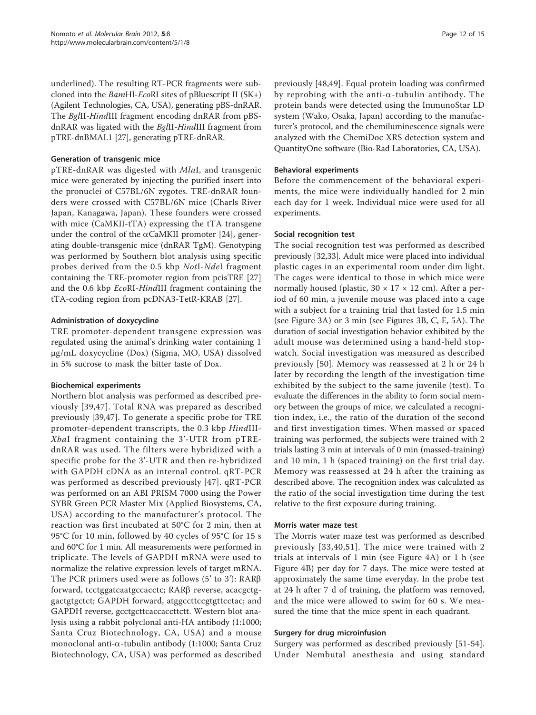underlined). The resulting RT-PCR fragments were subcloned into the BamHI-EcoRI sites of pBluescript II (SK+) (Agilent Technologies, CA, USA), generating pBS-dnRAR. The BglII-HindIII fragment encoding dnRAR from pBSdnRAR was ligated with the BglII-HindIII fragment from pTRE-dnBMAL1 [[27](#page-13-0)], generating pTRE-dnRAR.

## Generation of transgenic mice

pTRE-dnRAR was digested with MluI, and transgenic mice were generated by injecting the purified insert into the pronuclei of C57BL/6N zygotes. TRE-dnRAR founders were crossed with C57BL/6N mice (Charls River Japan, Kanagawa, Japan). These founders were crossed with mice (CaMKII-tTA) expressing the tTA transgene under the control of the  $\alpha$ CaMKII promoter [\[24](#page-13-0)], generating double-transgenic mice (dnRAR TgM). Genotyping was performed by Southern blot analysis using specific probes derived from the 0.5 kbp NotI-NdeI fragment containing the TRE-promoter region from pcisTRE [[27](#page-13-0)] and the 0.6 kbp EcoRI-HindIII fragment containing the tTA-coding region from pcDNA3-TetR-KRAB [[27\]](#page-13-0).

## Administration of doxycycline

TRE promoter-dependent transgene expression was regulated using the animal's drinking water containing 1 μg/mL doxycycline (Dox) (Sigma, MO, USA) dissolved in 5% sucrose to mask the bitter taste of Dox.

## Biochemical experiments

Northern blot analysis was performed as described previously [[39](#page-14-0),[47\]](#page-14-0). Total RNA was prepared as described previously [\[39](#page-14-0),[47\]](#page-14-0). To generate a specific probe for TRE promoter-dependent transcripts, the 0.3 kbp HindIII-XbaI fragment containing the 3'-UTR from pTREdnRAR was used. The filters were hybridized with a specific probe for the 3'-UTR and then re-hybridized with GAPDH cDNA as an internal control. qRT-PCR was performed as described previously [[47\]](#page-14-0). qRT-PCR was performed on an ABI PRISM 7000 using the Power SYBR Green PCR Master Mix (Applied Biosystems, CA, USA) according to the manufacturer's protocol. The reaction was first incubated at 50°C for 2 min, then at 95°C for 10 min, followed by 40 cycles of 95°C for 15 s and 60°C for 1 min. All measurements were performed in triplicate. The levels of GAPDH mRNA were used to normalize the relative expression levels of target mRNA. The PCR primers used were as follows  $(5' \text{ to } 3')$ : RAR $\beta$ forward, tcctggatcaatgccacctc;  $RAR\beta$  reverse, acacgctggactgtgctct; GAPDH forward, atggccttccgtgttcctac; and GAPDH reverse, gcctgcttcaccaccttctt. Western blot analysis using a rabbit polyclonal anti-HA antibody (1:1000; Santa Cruz Biotechnology, CA, USA) and a mouse monoclonal anti-a-tubulin antibody (1:1000; Santa Cruz Biotechnology, CA, USA) was performed as described

previously [[48,49\]](#page-14-0). Equal protein loading was confirmed by reprobing with the anti- $\alpha$ -tubulin antibody. The protein bands were detected using the ImmunoStar LD system (Wako, Osaka, Japan) according to the manufacturer's protocol, and the chemiluminescence signals were analyzed with the ChemiDoc XRS detection system and QuantityOne software (Bio-Rad Laboratories, CA, USA).

## Behavioral experiments

Before the commencement of the behavioral experiments, the mice were individually handled for 2 min each day for 1 week. Individual mice were used for all experiments.

## Social recognition test

The social recognition test was performed as described previously [[32,33](#page-14-0)]. Adult mice were placed into individual plastic cages in an experimental room under dim light. The cages were identical to those in which mice were normally housed (plastic,  $30 \times 17 \times 12$  cm). After a period of 60 min, a juvenile mouse was placed into a cage with a subject for a training trial that lasted for 1.5 min (see Figure [3A](#page-6-0)) or 3 min (see Figures [3B, C, E](#page-6-0), [5A\)](#page-9-0). The duration of social investigation behavior exhibited by the adult mouse was determined using a hand-held stopwatch. Social investigation was measured as described previously [[50](#page-14-0)]. Memory was reassessed at 2 h or 24 h later by recording the length of the investigation time exhibited by the subject to the same juvenile (test). To evaluate the differences in the ability to form social memory between the groups of mice, we calculated a recognition index, i.e., the ratio of the duration of the second and first investigation times. When massed or spaced training was performed, the subjects were trained with 2 trials lasting 3 min at intervals of 0 min (massed-training) and 10 min, 1 h (spaced training) on the first trial day. Memory was reassessed at 24 h after the training as described above. The recognition index was calculated as the ratio of the social investigation time during the test relative to the first exposure during training.

## Morris water maze test

The Morris water maze test was performed as described previously [[33](#page-14-0),[40](#page-14-0),[51\]](#page-14-0). The mice were trained with 2 trials at intervals of 1 min (see Figure [4A\)](#page-8-0) or 1 h (see Figure [4B\)](#page-8-0) per day for 7 days. The mice were tested at approximately the same time everyday. In the probe test at 24 h after 7 d of training, the platform was removed, and the mice were allowed to swim for 60 s. We measured the time that the mice spent in each quadrant.

## Surgery for drug microinfusion

Surgery was performed as described previously [\[51](#page-14-0)-[54](#page-14-0)]. Under Nembutal anesthesia and using standard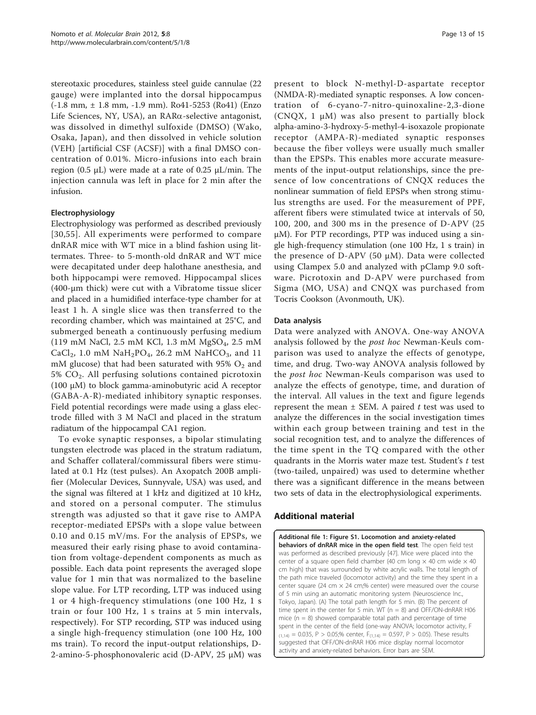<span id="page-12-0"></span>stereotaxic procedures, stainless steel guide cannulae (22 gauge) were implanted into the dorsal hippocampus (-1.8 mm, ± 1.8 mm, -1.9 mm). Ro41-5253 (Ro41) (Enzo Life Sciences, NY, USA), an RARa-selective antagonist, was dissolved in dimethyl sulfoxide (DMSO) (Wako, Osaka, Japan), and then dissolved in vehicle solution (VEH) [artificial CSF (ACSF)] with a final DMSO concentration of 0.01%. Micro-infusions into each brain region (0.5 μL) were made at a rate of 0.25 μL/min. The injection cannula was left in place for 2 min after the infusion.

## Electrophysiology

Electrophysiology was performed as described previously [[30,55\]](#page-14-0). All experiments were performed to compare dnRAR mice with WT mice in a blind fashion using littermates. Three- to 5-month-old dnRAR and WT mice were decapitated under deep halothane anesthesia, and both hippocampi were removed. Hippocampal slices (400-μm thick) were cut with a Vibratome tissue slicer and placed in a humidified interface-type chamber for at least 1 h. A single slice was then transferred to the recording chamber, which was maintained at 25°C, and submerged beneath a continuously perfusing medium  $(119 \text{ mM NaCl}, 2.5 \text{ mM KCl}, 1.3 \text{ mM MgSO}_4, 2.5 \text{ mM})$ CaCl<sub>2</sub>, 1.0 mM NaH<sub>2</sub>PO<sub>4</sub>, 26.2 mM NaHCO<sub>3</sub>, and 11 mM glucose) that had been saturated with 95%  $O_2$  and 5% CO2. All perfusing solutions contained picrotoxin (100 μM) to block gamma-aminobutyric acid A receptor (GABA-A-R)-mediated inhibitory synaptic responses. Field potential recordings were made using a glass electrode filled with 3 M NaCl and placed in the stratum radiatum of the hippocampal CA1 region.

To evoke synaptic responses, a bipolar stimulating tungsten electrode was placed in the stratum radiatum, and Schaffer collateral/commissural fibers were stimulated at 0.1 Hz (test pulses). An Axopatch 200B amplifier (Molecular Devices, Sunnyvale, USA) was used, and the signal was filtered at 1 kHz and digitized at 10 kHz, and stored on a personal computer. The stimulus strength was adjusted so that it gave rise to AMPA receptor-mediated EPSPs with a slope value between 0.10 and 0.15 mV/ms. For the analysis of EPSPs, we measured their early rising phase to avoid contamination from voltage-dependent components as much as possible. Each data point represents the averaged slope value for 1 min that was normalized to the baseline slope value. For LTP recording, LTP was induced using 1 or 4 high-frequency stimulations (one 100 Hz, 1 s train or four 100 Hz, 1 s trains at 5 min intervals, respectively). For STP recording, STP was induced using a single high-frequency stimulation (one 100 Hz, 100 ms train). To record the input-output relationships, D-2-amino-5-phosphonovaleric acid (D-APV, 25 μM) was present to block N-methyl-D-aspartate receptor (NMDA-R)-mediated synaptic responses. A low concentration of 6-cyano-7-nitro-quinoxaline-2,3-dione (CNQX, 1 μM) was also present to partially block alpha-amino-3-hydroxy-5-methyl-4-isoxazole propionate receptor (AMPA-R)-mediated synaptic responses because the fiber volleys were usually much smaller than the EPSPs. This enables more accurate measurements of the input-output relationships, since the presence of low concentrations of CNQX reduces the nonlinear summation of field EPSPs when strong stimulus strengths are used. For the measurement of PPF, afferent fibers were stimulated twice at intervals of 50, 100, 200, and 300 ms in the presence of D-APV (25 μM). For PTP recordings, PTP was induced using a single high-frequency stimulation (one 100 Hz, 1 s train) in the presence of D-APV (50 μM). Data were collected using Clampex 5.0 and analyzed with pClamp 9.0 software. Picrotoxin and D-APV were purchased from Sigma (MO, USA) and CNQX was purchased from Tocris Cookson (Avonmouth, UK).

#### Data analysis

Data were analyzed with ANOVA. One-way ANOVA analysis followed by the post hoc Newman-Keuls comparison was used to analyze the effects of genotype, time, and drug. Two-way ANOVA analysis followed by the post hoc Newman-Keuls comparison was used to analyze the effects of genotype, time, and duration of the interval. All values in the text and figure legends represent the mean  $\pm$  SEM. A paired t test was used to analyze the differences in the social investigation times within each group between training and test in the social recognition test, and to analyze the differences of the time spent in the TQ compared with the other quadrants in the Morris water maze test. Student's  $t$  test (two-tailed, unpaired) was used to determine whether there was a significant difference in the means between two sets of data in the electrophysiological experiments.

#### Additional material

[Additional file 1: F](http://www.biomedcentral.com/content/supplementary/1756-6606-5-8-S1.PDF)igure S1. Locomotion and anxiety-related behaviors of dnRAR mice in the open field test. The open field test was performed as described previously [[47\]](#page-14-0). Mice were placed into the center of a square open field chamber (40 cm long  $\times$  40 cm wide  $\times$  40 cm high) that was surrounded by white acrylic walls. The total length of the path mice traveled (locomotor activity) and the time they spent in a center square (24 cm  $\times$  24 cm;% center) were measured over the course of 5 min using an automatic monitoring system (Neuroscience Inc., Tokyo, Japan). (A) The total path length for 5 min. (B) The percent of time spent in the center for 5 min. WT ( $n = 8$ ) and OFF/ON-dnRAR H06 mice  $(n = 8)$  showed comparable total path and percentage of time spent in the center of the field (one-way ANOVA; locomotor activity, F  $(1,14)$  = 0.035, P > 0.05;% center, F<sub>(1,14)</sub> = 0.597, P > 0.05). These results suggested that OFF/ON-dnRAR H06 mice display normal locomotor activity and anxiety-related behaviors. Error bars are SEM.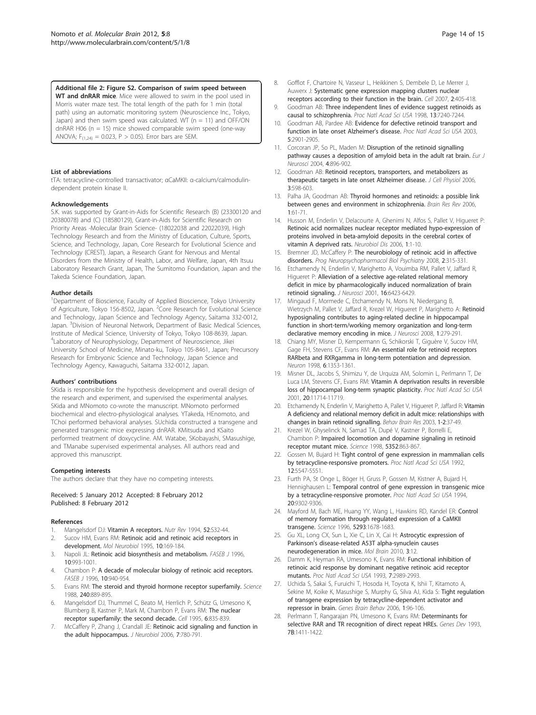<span id="page-13-0"></span>[Additional file 2: F](http://www.biomedcentral.com/content/supplementary/1756-6606-5-8-S2.PDF)igure S2. Comparison of swim speed between WT and dnRAR mice. Mice were allowed to swim in the pool used in Morris water maze test. The total length of the path for 1 min (total path) using an automatic monitoring system (Neuroscience Inc., Tokyo, Japan) and then swim speed was calculated. WT ( $n = 11$ ) and OFF/ON dnRAR H06 ( $n = 15$ ) mice showed comparable swim speed (one-way ANOVA;  $F_{(1,24)} = 0.023$ ,  $P > 0.05$ ). Error bars are SEM.

#### List of abbreviations

tTA: tetracycline-controlled transactivator; αCaMKII: α-calcium/calmodulindependent protein kinase II.

#### Acknowledgements

S.K. was supported by Grant-in-Aids for Scientific Research (B) (23300120 and 20380078) and (C) (18580129), Grant-in-Aids for Scientific Research on Priority Areas -Molecular Brain Science- (18022038 and 22022039), High Technology Research and from the Ministry of Education, Culture, Sports, Science, and Technology, Japan, Core Research for Evolutional Science and Technology (CREST), Japan, a Research Grant for Nervous and Mental Disorders from the Ministry of Health, Labor, and Welfare, Japan, 4th Itsuu Laboratory Research Grant, Japan, The Sumitomo Foundation, Japan and the Takeda Science Foundation, Japan.

#### Author details

<sup>1</sup>Department of Bioscience, Faculty of Applied Bioscience, Tokyo University of Agriculture, Tokyo 156-8502, Japan. <sup>2</sup>Core Research for Evolutional Science and Technology, Japan Science and Technology Agency, Saitama 332-0012, Japan. <sup>3</sup>Division of Neuronal Network, Department of Basic Medical Sciences, Institute of Medical Science, University of Tokyo, Tokyo 108-8639, Japan. 4 Laboratory of Neurophysiology, Department of Neuroscience, Jikei University School of Medicine, Minato-ku, Tokyo 105-8461, Japan; Precursory Research for Embryonic Science and Technology, Japan Science and Technology Agency, Kawaguchi, Saitama 332-0012, Japan.

#### Authors' contributions

SKida is responsible for the hypothesis development and overall design of the research and experiment, and supervised the experimental analyses. SKida and MNomoto co-wrote the manuscript. MNomoto performed biochemical and electro-physiological analyses. YTakeda, HEnomoto, and TChoi performed behavioral analyses. SUchida constructed a transgene and generated transgenic mice expressing dnRAR. KMitsuda and KSaito performed treatment of doxycycline. AM. Watabe, SKobayashi, SMasushige, and TManabe supervised experimental analyses. All authors read and approved this manuscript.

#### Competing interests

The authors declare that they have no competing interests.

#### Received: 5 January 2012 Accepted: 8 February 2012 Published: 8 February 2012

#### References

- 1. Mangelsdorf DJ: Vitamin A receptors. Nutr Rev 1994, 52:S32-44.
- 2. Sucov HM, Evans RM: Retinoic acid and retinoic acid receptors in development. Mol Neurobiol 1995, 10:169-184.
- 3. Napoli JL: Retinoic acid biosynthesis and metabolism. FASEB J 1996, 10:993-1001.
- 4. Chambon P: A decade of molecular biology of retinoic acid receptors. FASEB J 1996, 10:940-954.
- Evans RM: The steroid and thyroid hormone receptor superfamily. Science 1988, 240:889-895.
- 6. Mangelsdorf DJ, Thummel C, Beato M, Herrlich P, Schütz G, Umesono K, Blumberg B, Kastner P, Mark M, Chambon P, Evans RM: The nuclear receptor superfamily: the second decade. Cell 1995, 6:835-839.
- 7. McCaffery P, Zhang J, Crandall JE: Retinoic acid signaling and function in the adult hippocampus. J Neurobiol 2006, 7:780-791.
- 8. Gofflot F, Chartoire N, Vasseur L, Heikkinen S, Dembele D, Le Merrer J, Auwerx J: Systematic gene expression mapping clusters nuclear receptors according to their function in the brain. Cell 2007, 2:405-418.
- 9. Goodman AB: Three independent lines of evidence suggest retinoids as causal to schizophrenia. Proc Natl Acad Sci USA 1998, 13:7240-7244.
- 10. Goodman AB, Pardee AB: Evidence for defective retinoid transport and function in late onset Alzheimer's disease. Proc Natl Acad Sci USA 2003, 5:2901-2905.
- 11. Corcoran JP, So PL, Maden M: Disruption of the retinoid signalling pathway causes a deposition of amyloid beta in the adult rat brain. Eur J Neurosci 2004, 4:896-902.
- 12. Goodman AB: Retinoid receptors, transporters, and metabolizers as therapeutic targets in late onset Alzheimer disease. J Cell Physiol 2006, 3:598-603.
- 13. Palha JA, Goodman AB: Thyroid hormones and retinoids: a possible link between genes and environment in schizophrenia. Brain Res Rev 2006, 1:61-71.
- 14. Husson M, Enderlin V, Delacourte A, Ghenimi N, Alfos S, Pallet V, Higueret P: Retinoic acid normalizes nuclear receptor mediated hypo-expression of proteins involved in beta-amyloid deposits in the cerebral cortex of vitamin A deprived rats. Neurobiol Dis 2006, 1:1-10.
- 15. Bremner JD, McCaffery P: The neurobiology of retinoic acid in affective disorders. Prog Neuropsychopharmacol Biol Psychiatry 2008, 2:315-331.
- 16. Etchamendy N, Enderlin V, Marighetto A, Vouimba RM, Pallet V, Jaffard R, Higueret P: Alleviation of a selective age-related relational memory deficit in mice by pharmacologically induced normalization of brain retinoid signaling. J Neurosci 2001, 16:6423-6429.
- 17. Mingaud F, Mormede C, Etchamendy N, Mons N, Niedergang B, Wietrzych M, Pallet V, Jaffard R, Krezel W, Higueret P, Marighetto A: Retinoid hyposignaling contributes to aging-related decline in hippocampal function in short-term/working memory organization and long-term declarative memory encoding in mice. J Neurosci 2008, 1:279-291.
- 18. Chiang MY, Misner D, Kempermann G, Schikorski T, Giguère V, Sucov HM, Gage FH, Stevens CF, Evans RM: An essential role for retinoid receptors RARbeta and RXRgamma in long-term potentiation and depression. Neuron 1998, 6:1353-1361.
- 19. Misner DL, Jacobs S, Shimizu Y, de Urquiza AM, Solomin L, Perlmann T, De Luca LM, Stevens CF, Evans RM: Vitamin A deprivation results in reversible loss of hippocampal long-term synaptic plasticity. Proc Natl Acad Sci USA 2001, 20:11714-11719.
- 20. Etchamendy N, Enderlin V, Marighetto A, Pallet V, Higueret P, Jaffard R: Vitamin A deficiency and relational memory deficit in adult mice: relationships with changes in brain retinoid signalling. Behav Brain Res 2003, 1-2:37-49.
- 21. Krezel W, Ghyselinck N, Samad TA, Dupé V, Kastner P, Borrelli E, Chambon P: Impaired locomotion and dopamine signaling in retinoid receptor mutant mice. Science 1998, 5352:863-867.
- 22. Gossen M, Bujard H: Tight control of gene expression in mammalian cells by tetracycline-responsive promoters. Proc Natl Acad Sci USA 1992, 12:5547-5551.
- 23. Furth PA, St Onge L, Böger H, Gruss P, Gossen M, Kistner A, Bujard H, Hennighausen L: Temporal control of gene expression in transgenic mice by a tetracycline-responsive promoter. Proc Natl Acad Sci USA 1994, 20:9302-9306.
- 24. Mayford M, Bach ME, Huang YY, Wang L, Hawkins RD, Kandel ER: Control of memory formation through regulated expression of a CaMKII transgene. Science 1996, 5293:1678-1683.
- 25. Gu XL, Long CX, Sun L, Xie C, Lin X, Cai H: Astrocytic expression of Parkinson's disease-related A53T alpha-synuclein causes neurodegeneration in mice. Mol Brain 2010, 3:12.
- 26. Damm K, Heyman RA, Umesono K, Evans RM: Functional inhibition of retinoic acid response by dominant negative retinoic acid receptor mutants. Proc Natl Acad Sci USA 1993, 7:2989-2993.
- 27. Uchida S, Sakai S, Furuichi T, Hosoda H, Toyota K, Ishii T, Kitamoto A, Sekine M, Koike K, Masushige S, Murphy G, Silva AJ, Kida S: Tight regulation of transgene expression by tetracycline-dependent activator and repressor in brain. Genes Brain Behav 2006, 1:96-106.
- 28. Perlmann T, Rangarajan PN, Umesono K, Evans RM: Determinants for selective RAR and TR recognition of direct repeat HREs. Genes Dev 1993, 7B:1411-1422.